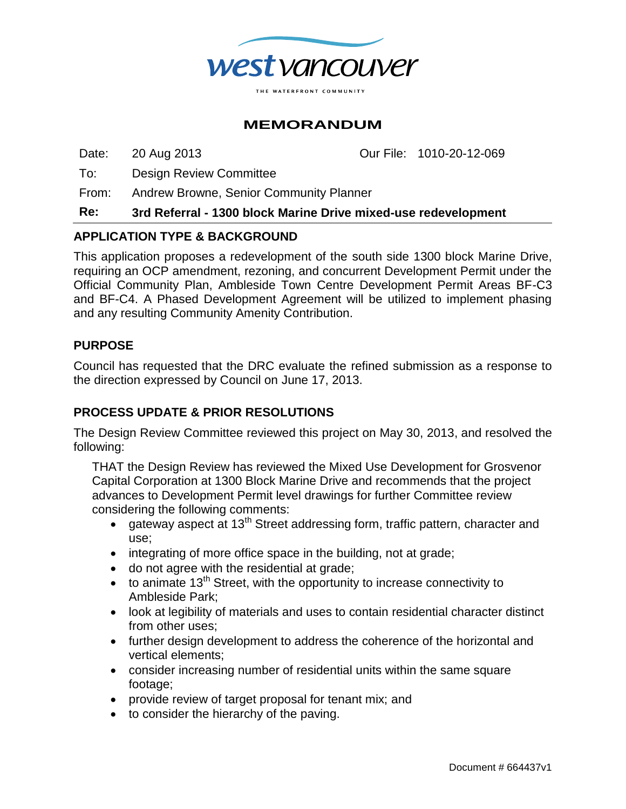

## **MEMORANDUM**

Date: 20 Aug 2013 Our File: 1010-20-12-069

To: Design Review Committee

From: Andrew Browne, Senior Community Planner

#### **Re: 3rd Referral - 1300 block Marine Drive mixed-use redevelopment**

### **APPLICATION TYPE & BACKGROUND**

This application proposes a redevelopment of the south side 1300 block Marine Drive, requiring an OCP amendment, rezoning, and concurrent Development Permit under the Official Community Plan, Ambleside Town Centre Development Permit Areas BF-C3 and BF-C4. A Phased Development Agreement will be utilized to implement phasing and any resulting Community Amenity Contribution.

### **PURPOSE**

Council has requested that the DRC evaluate the refined submission as a response to the direction expressed by Council on June 17, 2013.

## **PROCESS UPDATE & PRIOR RESOLUTIONS**

The Design Review Committee reviewed this project on May 30, 2013, and resolved the following:

THAT the Design Review has reviewed the Mixed Use Development for Grosvenor Capital Corporation at 1300 Block Marine Drive and recommends that the project advances to Development Permit level drawings for further Committee review considering the following comments:

- $\bullet$  gateway aspect at 13<sup>th</sup> Street addressing form, traffic pattern, character and use;
- integrating of more office space in the building, not at grade;
- do not agree with the residential at grade;
- $\bullet$  to animate 13<sup>th</sup> Street, with the opportunity to increase connectivity to Ambleside Park;
- look at legibility of materials and uses to contain residential character distinct from other uses;
- further design development to address the coherence of the horizontal and vertical elements;
- consider increasing number of residential units within the same square footage;
- provide review of target proposal for tenant mix; and
- to consider the hierarchy of the paving.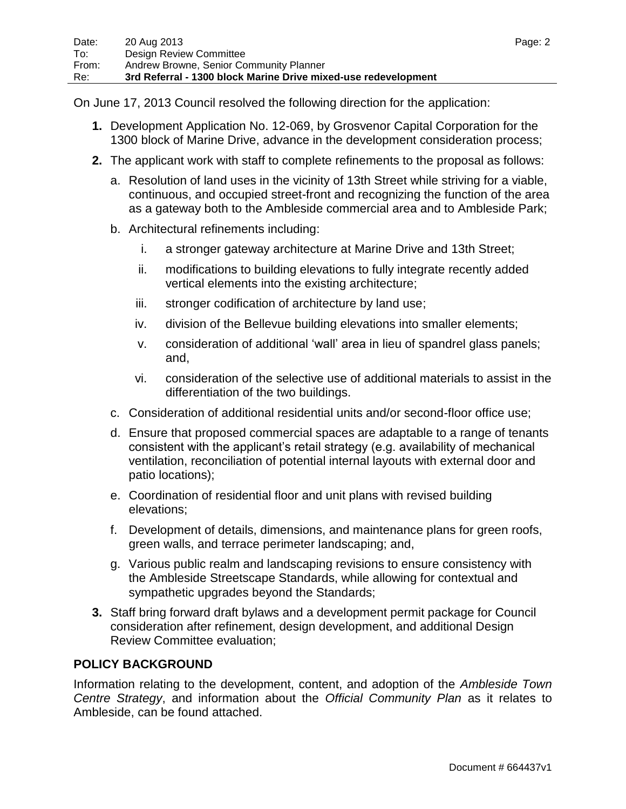On June 17, 2013 Council resolved the following direction for the application:

- **1.** Development Application No. 12-069, by Grosvenor Capital Corporation for the 1300 block of Marine Drive, advance in the development consideration process;
- **2.** The applicant work with staff to complete refinements to the proposal as follows:
	- a. Resolution of land uses in the vicinity of 13th Street while striving for a viable, continuous, and occupied street-front and recognizing the function of the area as a gateway both to the Ambleside commercial area and to Ambleside Park;
	- b. Architectural refinements including:
		- i. a stronger gateway architecture at Marine Drive and 13th Street;
		- ii. modifications to building elevations to fully integrate recently added vertical elements into the existing architecture;
		- iii. stronger codification of architecture by land use;
		- iv. division of the Bellevue building elevations into smaller elements;
		- v. consideration of additional "wall" area in lieu of spandrel glass panels; and,
		- vi. consideration of the selective use of additional materials to assist in the differentiation of the two buildings.
	- c. Consideration of additional residential units and/or second-floor office use;
	- d. Ensure that proposed commercial spaces are adaptable to a range of tenants consistent with the applicant"s retail strategy (e.g. availability of mechanical ventilation, reconciliation of potential internal layouts with external door and patio locations);
	- e. Coordination of residential floor and unit plans with revised building elevations;
	- f. Development of details, dimensions, and maintenance plans for green roofs, green walls, and terrace perimeter landscaping; and,
	- g. Various public realm and landscaping revisions to ensure consistency with the Ambleside Streetscape Standards, while allowing for contextual and sympathetic upgrades beyond the Standards;
- **3.** Staff bring forward draft bylaws and a development permit package for Council consideration after refinement, design development, and additional Design Review Committee evaluation;

## **POLICY BACKGROUND**

Information relating to the development, content, and adoption of the *Ambleside Town Centre Strategy*, and information about the *Official Community Plan* as it relates to Ambleside, can be found attached.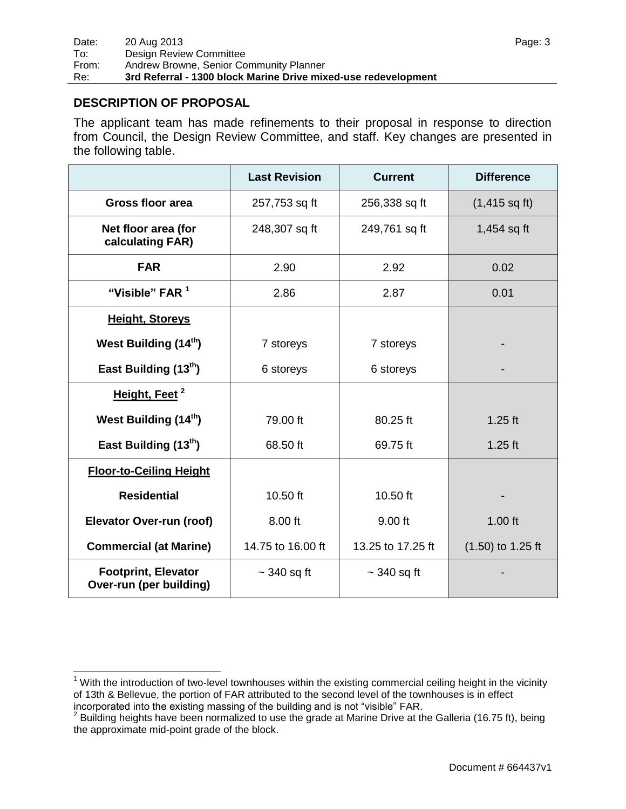## **DESCRIPTION OF PROPOSAL**

 $\overline{a}$ 

The applicant team has made refinements to their proposal in response to direction from Council, the Design Review Committee, and staff. Key changes are presented in the following table.

|                                                       | <b>Last Revision</b> | <b>Current</b>    | <b>Difference</b>       |
|-------------------------------------------------------|----------------------|-------------------|-------------------------|
| <b>Gross floor area</b>                               | 257,753 sq ft        | 256,338 sq ft     | $(1,415 \text{ sq ft})$ |
| Net floor area (for<br>calculating FAR)               | 248,307 sq ft        | 249,761 sq ft     | $1,454$ sq ft           |
| <b>FAR</b>                                            | 2.90                 | 2.92              | 0.02                    |
| "Visible" FAR <sup>1</sup>                            | 2.86                 | 2.87              | 0.01                    |
| <b>Height, Storeys</b>                                |                      |                   |                         |
| West Building (14 <sup>th</sup> )                     | 7 storeys            | 7 storeys         |                         |
| East Building (13th)                                  | 6 storeys            | 6 storeys         |                         |
| Height, Feet <sup>2</sup>                             |                      |                   |                         |
| West Building (14 <sup>th</sup> )                     | 79.00 ft             | 80.25 ft          | $1.25$ ft               |
| East Building (13th)                                  | 68.50 ft             | 69.75 ft          | $1.25$ ft               |
| <b>Floor-to-Ceiling Height</b>                        |                      |                   |                         |
| <b>Residential</b>                                    | 10.50 ft             | 10.50 ft          |                         |
| <b>Elevator Over-run (roof)</b>                       | 8.00 ft              | 9.00 ft           | $1.00$ ft               |
| <b>Commercial (at Marine)</b>                         | 14.75 to 16.00 ft    | 13.25 to 17.25 ft | $(1.50)$ to 1.25 ft     |
| <b>Footprint, Elevator</b><br>Over-run (per building) | $\sim$ 340 sq ft     | $\sim$ 340 sq ft  |                         |

 $1$  With the introduction of two-level townhouses within the existing commercial ceiling height in the vicinity of 13th & Bellevue, the portion of FAR attributed to the second level of the townhouses is in effect

incorporated into the existing massing of the building and is not "visible" FAR.<br><sup>2</sup> Building heights have been normalized to use the grade at Marine Drive at the Galleria (16.75 ft), being the approximate mid-point grade of the block.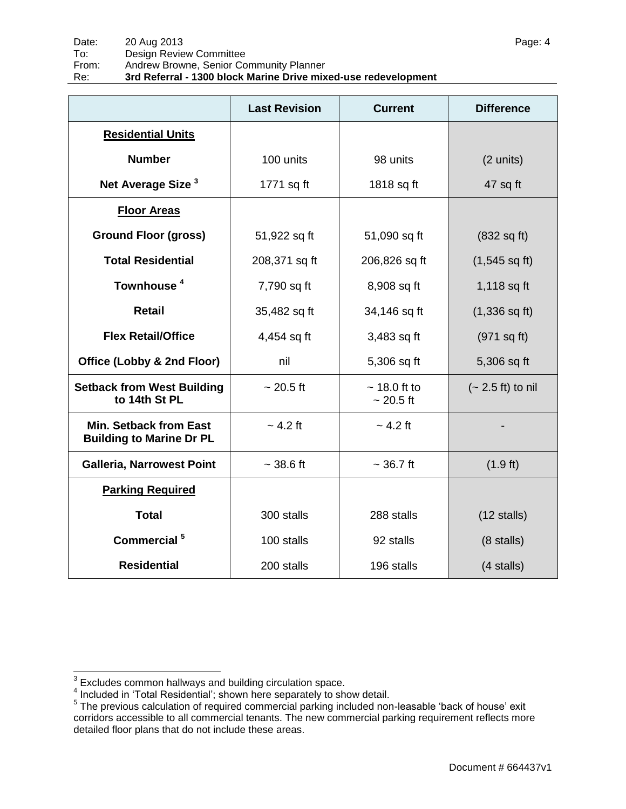|                                                                  | <b>Last Revision</b> | <b>Current</b>                  | <b>Difference</b>          |
|------------------------------------------------------------------|----------------------|---------------------------------|----------------------------|
| <b>Residential Units</b>                                         |                      |                                 |                            |
| <b>Number</b>                                                    | 100 units            | 98 units                        | (2 units)                  |
| Net Average Size <sup>3</sup>                                    | 1771 sq ft           | 1818 sq ft                      | 47 sq ft                   |
| <b>Floor Areas</b>                                               |                      |                                 |                            |
| <b>Ground Floor (gross)</b>                                      | 51,922 sq ft         | 51,090 sq ft                    | $(832 \text{ sq ft})$      |
| <b>Total Residential</b>                                         | 208,371 sq ft        | 206,826 sq ft                   | $(1,545 \text{ sq ft})$    |
| Townhouse <sup>4</sup>                                           | 7,790 sq ft          | 8,908 sq ft                     | 1,118 sq ft                |
| <b>Retail</b>                                                    | 35,482 sq ft         | 34,146 sq ft                    | $(1,336$ sq ft)            |
| <b>Flex Retail/Office</b>                                        | 4,454 sq ft          | 3,483 sq ft                     | (971 sq ft)                |
| Office (Lobby & 2nd Floor)                                       | nil                  | 5,306 sq ft                     | 5,306 sq ft                |
| <b>Setback from West Building</b><br>to 14th St PL               | $~20.5 \text{ ft}$   | $\sim$ 18.0 ft to<br>$~20.5$ ft | $(-2.5 \text{ ft})$ to nil |
| <b>Min. Setback from East</b><br><b>Building to Marine Dr PL</b> | $\sim$ 4.2 ft        | $\sim$ 4.2 ft                   |                            |
| <b>Galleria, Narrowest Point</b>                                 | $~28.6$ ft           | $~26.7$ ft                      | $(1.9 \text{ ft})$         |
| <b>Parking Required</b>                                          |                      |                                 |                            |
| <b>Total</b>                                                     | 300 stalls           | 288 stalls                      | $(12 \text{ stalls})$      |
| Commercial <sup>5</sup>                                          | 100 stalls           | 92 stalls                       | $(8 \text{ stalls})$       |
| <b>Residential</b>                                               | 200 stalls           | 196 stalls                      | (4 stalls)                 |

<sup>&</sup>lt;u>。</u><br><sup>3</sup> Excludes common hallways and building circulation space.<br><sup>4</sup> Included in 'Total Residential'; shown here separately to show detail.

<sup>&</sup>lt;sup>5</sup> The previous calculation of required commercial parking included non-leasable 'back of house' exit corridors accessible to all commercial tenants. The new commercial parking requirement reflects more detailed floor plans that do not include these areas.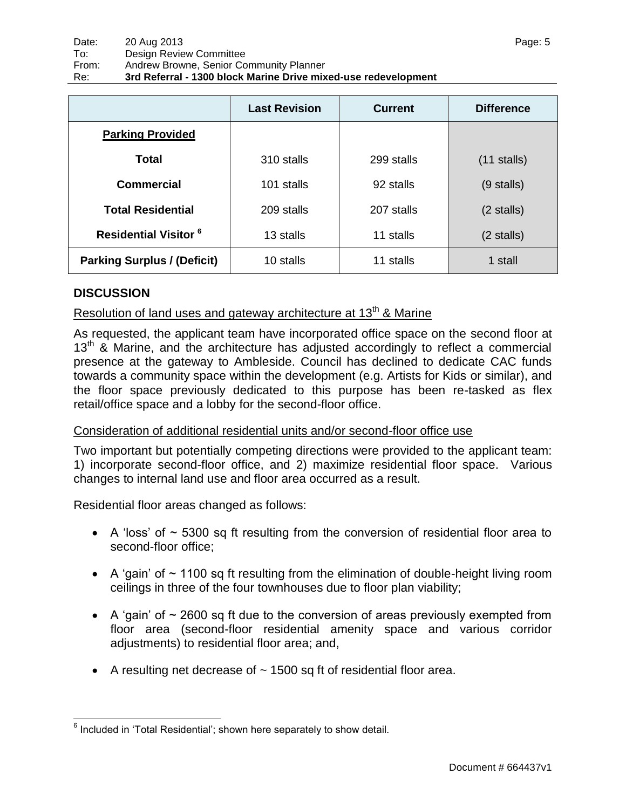|                                    | <b>Last Revision</b> | <b>Current</b> | <b>Difference</b>    |
|------------------------------------|----------------------|----------------|----------------------|
| <b>Parking Provided</b>            |                      |                |                      |
| <b>Total</b>                       | 310 stalls           | 299 stalls     | $(11$ stalls)        |
| <b>Commercial</b>                  | 101 stalls           | 92 stalls      | $(9$ stalls)         |
| <b>Total Residential</b>           | 209 stalls           | 207 stalls     | $(2 \text{ stalls})$ |
| <b>Residential Visitor 6</b>       | 13 stalls            | 11 stalls      | $(2 \text{ stalls})$ |
| <b>Parking Surplus / (Deficit)</b> | 10 stalls            | 11 stalls      | 1 stall              |

## **DISCUSSION**

 $\overline{a}$ 

# Resolution of land uses and gateway architecture at 13<sup>th</sup> & Marine

As requested, the applicant team have incorporated office space on the second floor at  $13<sup>th</sup>$  & Marine, and the architecture has adjusted accordingly to reflect a commercial presence at the gateway to Ambleside. Council has declined to dedicate CAC funds towards a community space within the development (e.g. Artists for Kids or similar), and the floor space previously dedicated to this purpose has been re-tasked as flex retail/office space and a lobby for the second-floor office.

### Consideration of additional residential units and/or second-floor office use

Two important but potentially competing directions were provided to the applicant team: 1) incorporate second-floor office, and 2) maximize residential floor space. Various changes to internal land use and floor area occurred as a result.

Residential floor areas changed as follows:

- $\bullet$  A 'loss' of  $\sim$  5300 sq ft resulting from the conversion of residential floor area to second-floor office;
- $\bullet$  A 'gain' of  $\sim$  1100 sg ft resulting from the elimination of double-height living room ceilings in three of the four townhouses due to floor plan viability;
- $\bullet$  A 'gain' of  $\sim$  2600 sq ft due to the conversion of areas previously exempted from floor area (second-floor residential amenity space and various corridor adjustments) to residential floor area; and,
- A resulting net decrease of  $\sim$  1500 sq ft of residential floor area.

 $6$  Included in 'Total Residential'; shown here separately to show detail.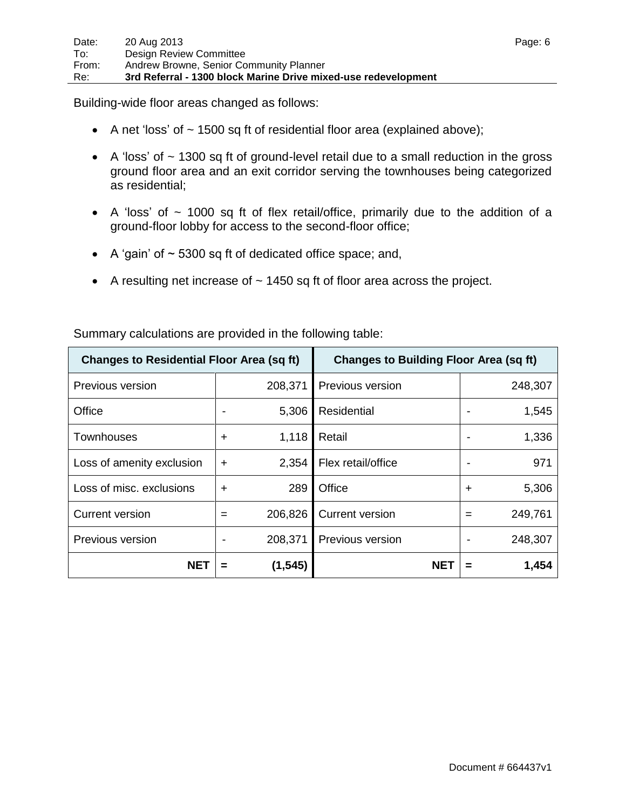Building-wide floor areas changed as follows:

- A net 'loss' of  $\sim$  1500 sq ft of residential floor area (explained above);
- $\bullet$  A 'loss' of  $\sim$  1300 sq ft of ground-level retail due to a small reduction in the gross ground floor area and an exit corridor serving the townhouses being categorized as residential;
- A 'loss' of  $\sim$  1000 sq ft of flex retail/office, primarily due to the addition of a ground-floor lobby for access to the second-floor office;
- A 'gain' of  $\sim$  5300 sq ft of dedicated office space; and,
- A resulting net increase of  $\sim$  1450 sq ft of floor area across the project.

| <b>Changes to Residential Floor Area (sq ft)</b> |                 | <b>Changes to Building Floor Area (sq ft)</b> |            |
|--------------------------------------------------|-----------------|-----------------------------------------------|------------|
| Previous version                                 | 208,371         | Previous version                              | 248,307    |
| Office                                           | 5,306           | Residential                                   | 1,545      |
| <b>Townhouses</b>                                | 1,118<br>$\div$ | Retail                                        | 1,336      |
| Loss of amenity exclusion                        | 2,354<br>$\div$ | Flex retail/office                            | 971        |
| Loss of misc. exclusions                         | 289<br>┿        | Office                                        | 5,306<br>÷ |
| Current version                                  | 206,826<br>$=$  | <b>Current version</b>                        | 249,761    |
| Previous version                                 | 208,371         | Previous version                              | 248,307    |
| <b>NET</b>                                       | (1, 545)<br>=   | NET                                           | 1,454      |

Summary calculations are provided in the following table: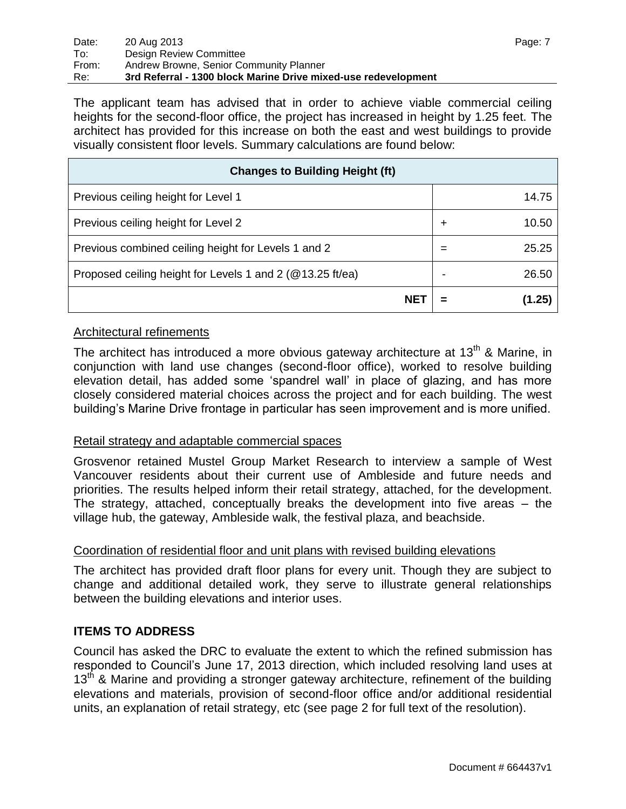The applicant team has advised that in order to achieve viable commercial ceiling heights for the second-floor office, the project has increased in height by 1.25 feet. The architect has provided for this increase on both the east and west buildings to provide visually consistent floor levels. Summary calculations are found below:

| <b>Changes to Building Height (ft)</b>                    |   |        |  |
|-----------------------------------------------------------|---|--------|--|
| Previous ceiling height for Level 1                       |   | 14.75  |  |
| Previous ceiling height for Level 2                       | ┿ | 10.50  |  |
| Previous combined ceiling height for Levels 1 and 2       | = | 25.25  |  |
| Proposed ceiling height for Levels 1 and 2 (@13.25 ft/ea) |   | 26.50  |  |
| <b>NE</b>                                                 |   | (1.25) |  |

### Architectural refinements

The architect has introduced a more obvious gateway architecture at  $13<sup>th</sup>$  & Marine, in conjunction with land use changes (second-floor office), worked to resolve building elevation detail, has added some "spandrel wall" in place of glazing, and has more closely considered material choices across the project and for each building. The west building"s Marine Drive frontage in particular has seen improvement and is more unified.

### Retail strategy and adaptable commercial spaces

Grosvenor retained Mustel Group Market Research to interview a sample of West Vancouver residents about their current use of Ambleside and future needs and priorities. The results helped inform their retail strategy, attached, for the development. The strategy, attached, conceptually breaks the development into five areas – the village hub, the gateway, Ambleside walk, the festival plaza, and beachside.

#### Coordination of residential floor and unit plans with revised building elevations

The architect has provided draft floor plans for every unit. Though they are subject to change and additional detailed work, they serve to illustrate general relationships between the building elevations and interior uses.

### **ITEMS TO ADDRESS**

Council has asked the DRC to evaluate the extent to which the refined submission has responded to Council"s June 17, 2013 direction, which included resolving land uses at  $13<sup>th</sup>$  & Marine and providing a stronger gateway architecture, refinement of the building elevations and materials, provision of second-floor office and/or additional residential units, an explanation of retail strategy, etc (see page 2 for full text of the resolution).